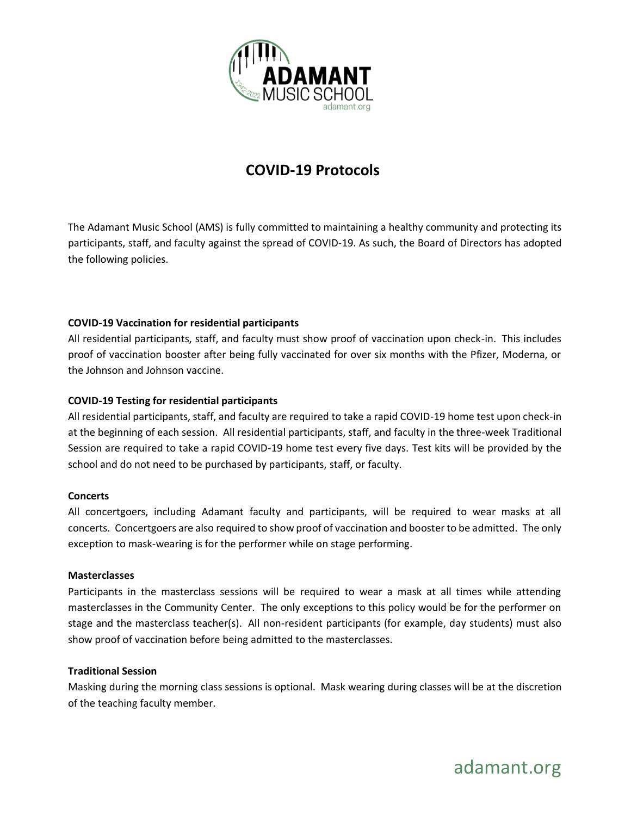

# **COVID-19 Protocols**

The Adamant Music School (AMS) is fully committed to maintaining a healthy community and protecting its participants, staff, and faculty against the spread of COVID-19. As such, the Board of Directors has adopted the following policies.

# **COVID-19 Vaccination for residential participants**

All residential participants, staff, and faculty must show proof of vaccination upon check-in. This includes proof of vaccination booster after being fully vaccinated for over six months with the Pfizer, Moderna, or the Johnson and Johnson vaccine.

# **COVID-19 Testing for residential participants**

All residential participants, staff, and faculty are required to take a rapid COVID-19 home test upon check-in at the beginning of each session. All residential participants, staff, and faculty in the three-week Traditional Session are required to take a rapid COVID-19 home test every five days. Test kits will be provided by the school and do not need to be purchased by participants, staff, or faculty.

## **Concerts**

All concertgoers, including Adamant faculty and participants, will be required to wear masks at all concerts. Concertgoers are also required to show proof of vaccination and booster to be admitted. The only exception to mask-wearing is for the performer while on stage performing.

## **Masterclasses**

Participants in the masterclass sessions will be required to wear a mask at all times while attending masterclasses in the Community Center. The only exceptions to this policy would be for the performer on stage and the masterclass teacher(s). All non-resident participants (for example, day students) must also show proof of vaccination before being admitted to the masterclasses.

## **Traditional Session**

Masking during the morning class sessions is optional. Mask wearing during classes will be at the discretion of the teaching faculty member.

adamant.org